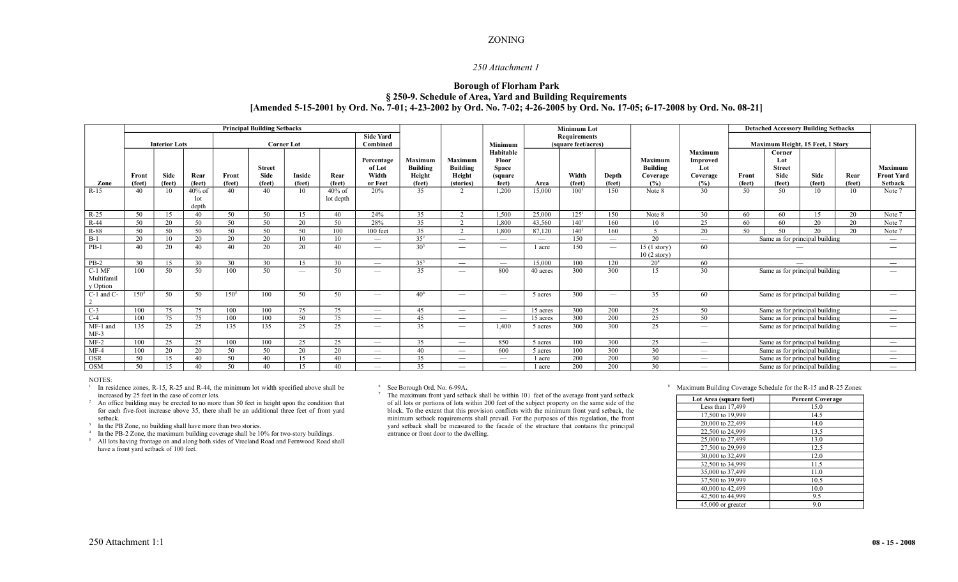## ZONING

## *250 Attachment 1*

# **Borough of Florham Park § 250-9. Schedule of Area, Yard and Building Requirements [Amended 5-15-2001 by Ord. No. 7-01; 4-23-2002 by Ord. No. 7-02; 4-26-2005 by Ord. No. 17-05; 6-17-2008 by Ord. No. 08-21]**

|                                    | <b>Principal Building Setbacks</b> |                  |                           |                   |                                 |                  |                        |                                          |                                                       |                                                          | <b>Minimum Lot</b>                                      |                          |                  |                          |                                                      | <b>Detached Accessory Building Setbacks</b>                 |                                  |                                                         |                       |                          |                                                |
|------------------------------------|------------------------------------|------------------|---------------------------|-------------------|---------------------------------|------------------|------------------------|------------------------------------------|-------------------------------------------------------|----------------------------------------------------------|---------------------------------------------------------|--------------------------|------------------|--------------------------|------------------------------------------------------|-------------------------------------------------------------|----------------------------------|---------------------------------------------------------|-----------------------|--------------------------|------------------------------------------------|
|                                    |                                    | <b>Side Yard</b> |                           |                   |                                 |                  |                        | <b>Requirements</b>                      |                                                       |                                                          |                                                         |                          |                  |                          |                                                      |                                                             |                                  |                                                         |                       |                          |                                                |
|                                    | <b>Interior Lots</b>               |                  |                           | <b>Corner Lot</b> |                                 |                  |                        | Combined                                 |                                                       |                                                          | Minimum                                                 | (square feet/acres)      |                  |                          |                                                      |                                                             | Maximum Height, 15 Feet, 1 Story |                                                         |                       |                          |                                                |
| Zone                               | Front<br>(feet)                    | Side<br>(feet)   | Rear<br>(feet)            | Front<br>(feet)   | Street<br><b>Side</b><br>(feet) | Inside<br>(feet) | Rear<br>(feet)         | Percentage<br>of Lot<br>Width<br>or Feet | <b>Maximum</b><br><b>Building</b><br>Height<br>(feet) | <b>Maximum</b><br><b>Building</b><br>Height<br>(stories) | Habitable<br>Floor<br><b>Space</b><br>(square)<br>feet) | Area                     | Width<br>(feet)  | Depth<br>(feet)          | <b>Maximum</b><br><b>Building</b><br>Coverage<br>(%) | <b>Maximum</b><br><b>Improved</b><br>Lot<br>Coverage<br>(%) | Front<br>(feet)                  | Corner<br>Lot<br><b>Street</b><br><b>Side</b><br>(feet) | <b>Side</b><br>(feet) | Rear<br>(feet)           | <b>Maximum</b><br><b>Front Yard</b><br>Setback |
| $R-15$                             | 40                                 | 10               | $40\%$ of<br>lot<br>depth | 40                | 40                              | 10               | $40\%$ of<br>lot depth | 20%                                      | 35                                                    | 2                                                        | 1,200                                                   | 15,000                   | $100^{1}$        | 150                      | Note 8                                               | 30                                                          | 50                               | 50                                                      | 10                    | 10                       | Note 7                                         |
| $R-25$                             | 50                                 | 15               | 40                        | 50                | 50                              | 15               | 40                     | 24%                                      | 35                                                    | $\gamma$                                                 | 1.500                                                   | 25,000                   | 125 <sup>1</sup> | 150                      | Note 8                                               | 30                                                          | 60                               | 60                                                      | 15                    | 20                       | Note 7                                         |
| $R-44$                             | 50                                 | 20               | 50                        | 50                | 50                              | 20               | 50                     | 28%                                      | 35                                                    | $\sim$                                                   | 1.800                                                   | 43.560                   | 140 <sup>1</sup> | 160                      | 10                                                   | 25                                                          | 60                               | 60                                                      | 20                    | 20                       | Note 7                                         |
| R-88                               | 50                                 | 50               | 50                        | 50                | 50                              | 50               | 100                    | 100 feet                                 | 35                                                    | $\gamma$                                                 | 1,800                                                   | 87,120                   | 140 <sup>1</sup> | 160                      | $\overline{\mathcal{L}}$                             | 20                                                          | 50                               | 50                                                      | 20                    | 20                       | Note 7                                         |
| $B-1$                              | 20                                 | 10               | 20                        | 20                | 20                              | 10               | 10 <sup>1</sup>        | $\overline{\phantom{m}}$                 | $35^{2}$                                              |                                                          | $\overline{\phantom{m}}$                                | $\overline{\phantom{m}}$ | 150              | $\overline{\phantom{m}}$ | 20                                                   | $\overline{\phantom{0}}$                                    | Same as for principal building   |                                                         |                       |                          | $\overline{\phantom{m}}$                       |
| $PB-1$                             | 40                                 | 20               | 40                        | 40                | 20                              | 20               | 40                     | $\overline{\phantom{m}}$                 | $30^{3}$                                              | $\overline{\phantom{a}}$                                 | $\sim$                                                  | 1 acre                   | 150              |                          | $15(1 \text{ story})$<br>$10(2 \text{ story})$       | 60                                                          |                                  |                                                         |                       |                          | $\overline{\phantom{m}}$                       |
| $PB-2$                             | 30                                 | 15               | 30                        | 30                | 30                              | 15               | 30                     | $\overline{\phantom{a}}$                 | $35^{3}$                                              | $\overline{\phantom{0}}$                                 | $\overline{\phantom{0}}$                                | 15,000                   | 100              | 120                      | $20^{4}$                                             | 60                                                          |                                  |                                                         |                       |                          |                                                |
| $C-1$ MF<br>Multifamil<br>y Option | 100                                | 50               | 50                        | 100               | 50                              |                  | 50                     | $\overline{\phantom{a}}$                 | 35                                                    |                                                          | 800                                                     | 40 acres                 | 300              | 300                      | 15                                                   | 30                                                          | Same as for principal building   |                                                         |                       |                          |                                                |
| C-1 and C-<br>2                    | $150^5$                            | 50               | 50                        | $150^5$           | 100                             | 50               | 50                     | $\overline{\phantom{a}}$                 | $40^{6}$                                              |                                                          | $\overline{\phantom{a}}$                                | 5 acres                  | 300              | $\overline{\phantom{m}}$ | 35                                                   | 60                                                          | Same as for principal building   |                                                         |                       |                          |                                                |
| $C-3$                              | 100                                | 75               | 75                        | 100               | 100                             | 75               | 75                     | $\overline{\phantom{m}}$                 | 45                                                    | $\qquad \qquad$                                          | $\overline{\phantom{a}}$                                | 15 acres                 | 300              | 200                      | 25                                                   | 50                                                          | Same as for principal building   |                                                         |                       | $\overline{\phantom{m}}$ |                                                |
| $C-4$                              | 100                                | 75               | 75                        | 100               | 100                             | 50               | 75                     | $\overline{\phantom{m}}$                 | 45                                                    |                                                          | $\overline{\phantom{0}}$                                | 15 acres                 | 300              | $\overline{200}$         | 25                                                   | 50                                                          | Same as for principal building   |                                                         |                       | $\overline{\phantom{a}}$ |                                                |
| MF-1 and<br>$MF-3$                 | 135                                | 25               | 25                        | 135               | 135                             | 25               | 25                     | $\overline{\phantom{a}}$                 | 35                                                    |                                                          | 1.400                                                   | 5 acres                  | 300              | 300                      | 25                                                   | $\overline{\phantom{a}}$                                    | Same as for principal building   |                                                         |                       | $\overline{\phantom{m}}$ |                                                |
| $MF-2$                             | 100                                | 25               | 25                        | 100               | 100                             | 25               | 25                     | $\overline{\phantom{a}}$                 | 35                                                    |                                                          | 850                                                     | 5 acres                  | 100              | 300                      | 25                                                   | $\overline{\phantom{a}}$                                    | Same as for principal building   |                                                         |                       | $\overline{\phantom{a}}$ |                                                |
| $MF-4$                             | 100                                | 20               | 20                        | 50                | 50                              | 20               | 20                     | $\overline{\phantom{a}}$                 | 40                                                    | $\qquad \qquad$                                          | 600                                                     | 5 acres                  | 100              | 300                      | 30                                                   | $\overline{\phantom{a}}$                                    | Same as for principal building   |                                                         |                       | $\overline{\phantom{a}}$ |                                                |
| <b>OSR</b>                         | 50                                 | 15               | 40                        | 50                | 40                              | 15               | 40                     | $\overline{\phantom{a}}$                 | 35                                                    |                                                          | $\overline{\phantom{0}}$                                | 1 acre                   | 200              | 200                      | 30                                                   |                                                             | Same as for principal building   |                                                         |                       | $\overline{\phantom{m}}$ |                                                |
| <b>OSM</b>                         | 50                                 | 15               | 40                        | 50                | 40                              | 15               | 40                     | $\overline{\phantom{a}}$                 | 35                                                    | $\overline{\phantom{0}}$                                 |                                                         | 1 acre                   | 200              | 200                      | 30                                                   |                                                             | Same as for principal building   |                                                         |                       | $\overline{\phantom{a}}$ |                                                |

#### NOTES:

<sup>1</sup> In residence zones, R-15, R-25 and R-44, the minimum lot width specified above shall be increased by 25 feet in the case of corner lots.

<sup>2</sup> An office building may be erected to no more than 50 feet in height upon the condition that for each five-foot increase above 35, there shall be an additional three feet of front yard setback.

<sup>3</sup> In the PB Zone, no building shall have more than two stories.

<sup>4</sup> In the PB-2 Zone, the maximum building coverage shall be 10% for two-story buildings. <sup>5</sup> All lots having frontage on and along both sides of Vreeland Road and Fernwood Road shall have a front yard setback of 100 feet.

<sup>6</sup> See Borough Ord. No. 6-99A**.**

<sup>7</sup> The maximum front yard setback shall be within 10) feet of the average front yard setback of all lots or portions of lots within 200 feet of the subject property on the same side of the block. To the extent that this provision conflicts with the minimum front yard setback, the minimum setback requirements shall prevail. For the purposes of this regulation, the front yard setback shall be measured to the facade of the structure that contains the principal entrance or front door to the dwelling.

### <sup>8</sup> Maximum Building Coverage Schedule for the R-15 and R-25 Zones:

| <b>Percent Coverage</b> |
|-------------------------|
| 15.0                    |
| 14.5                    |
| 14.0                    |
| 13.5                    |
| 13.0                    |
| 12.5                    |
| 12.0                    |
| 11.5                    |
| 11.0                    |
| 10.5                    |
| 10.0                    |
| 9.5                     |
| 9.0                     |
|                         |